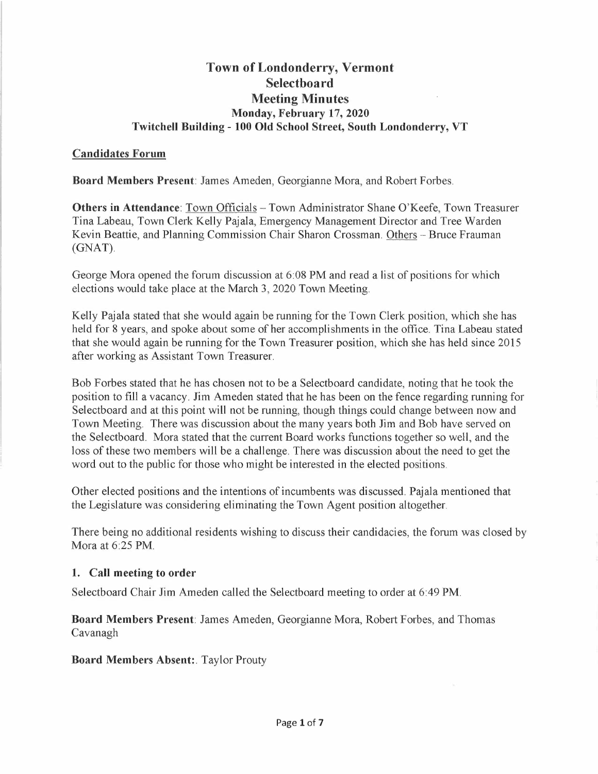# **Town of Londonderry, Vermont Selectboard Meeting Minutes Monday, February 17, 2020 Twitchell Building - 100 Old School Street, South Londonderry, VT**

#### **Candidates Forum**

**Board Members Present:** James Ameden, Georgianne Mora, and Robert Forbes.

**Others in Attendance:** Town Officials - Town Administrator Shane O'Keefe, Town Treasurer Tina Labeau, Town Clerk Kelly Pajala, Emergency Management Director and Tree Warden Kevin Beattie, and Planning Commission Chair Sharon Crossman. Others - Bruce Frauman (GNAT).

George Mora opened the forum discussion at 6:08 PM and read a list of positions for which elections would take place at the March 3, 2020 Town Meeting.

Kelly Pajala stated that she would again be running for the Town Clerk position, which she has held for 8 years, and spoke about some of her accomplishments in the office. Tina Labeau stated that she would again be running for the Town Treasurer position, which she has held since 2015 after working as Assistant Town Treasurer.

Bob Forbes stated that he has chosen not to be a Selectboard candidate, noting that he took the position to fill a vacancy. Jim Ameden stated that he has been on the fence regarding running for Selectboard and at this point will not be running, though things could change between now and Town Meeting. There was discussion about the many years both Jim and Bob have served on the Selectboard. Mora stated that the current Board works functions together so well, and the loss of these two members will be a challenge. There was discussion about the need to get the word out to the public for those who might be interested in the elected positions.

Other elected positions and the intentions of incumbents was discussed. Pajala mentioned that the Legislature was considering eliminating the Town Agent position altogether.

There being no additional residents wishing to discuss their candidacies, the forum was closed by Mora at 6:25 PM.

## **1. Call meeting to order**

Selectboard Chair Jim Ameden called the Selectboard meeting to order at 6:49 PM.

**Board Members Present:** James Ameden, Georgianne Mora, Robert Forbes, and Thomas Cavanagh

**Board Members Absent:.** Taylor Prouty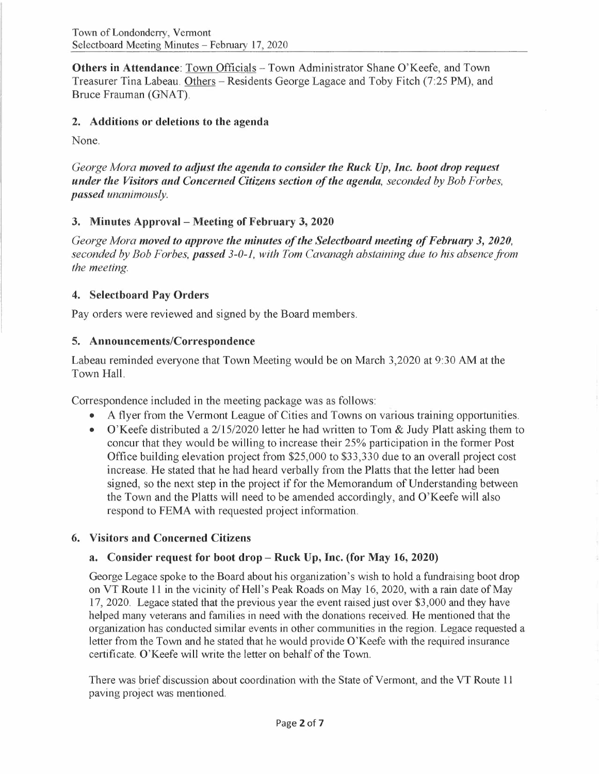**Others in Attendance:** Town Officials - Town Administrator Shane O'Keefe, and Town Treasurer Tina Labeau. Others - Residents George Lagace and Toby Fitch (7:25 PM), and Bruce Frauman (GNAT).

#### **2. Additions or deletions to the agenda**

None.

*George Mora moved to adjust the agenda to consider the Ruck Up, Inc. boot drop request under the Visitors and Concerned Citizens section of the agenda, seconded by Bob Forbes, passed unanimously.* 

## **3. Minutes Approval - Meeting of February 3, 2020**

*George Mora moved to approve the minutes of the Selectboard meeting of February 3, 2020, seconded by Bob Forbes, passed 3-0-1, with Tom Cavanagh abstaining due to his absence from the meeting.* 

## **4. Selectboard Pay Orders**

Pay orders were reviewed and signed by the Board members.

## **5. Announcements/Correspondence**

Labeau reminded everyone that Town Meeting would be on March 3,2020 at 9:30 AM at the Town Hall.

Correspondence included in the meeting package was as follows:

- A flyer from the Vermont League of Cities and Towns on various training opportunities.
- O'Keefe distributed a 2/15/2020 letter he had written to Tom & Judy Platt asking them to concur that they would be willing to increase their 25% participation in the former Post Office building elevation project from \$25,000 to \$33,330 due to an overall project cost increase. He stated that he had heard verbally from the Platts that the letter had been signed, so the next step in the project if for the Memorandum of Understanding between the Town and the Platts will need to be amended accordingly, and O'Keefe will also respond to FEMA with requested project information.

## **6. Visitors and Concerned Citizens**

## **a. Consider request for boot drop- Ruck Up, Inc. (for May 16, 2020)**

George Legace spoke to the Board about his organization's wish to hold a fundraising boot drop on VT Route 11 in the vicinity of Hell's Peak Roads on May 16, 2020, with a rain date of May 17, 2020. Legace stated that the previous year the event raised just over \$3,000 and they have helped many veterans and families in need with the donations received. He mentioned that the organization has conducted similar events in other communities in the region. Legace requested a letter from the Town and he stated that he would provide O'Keefe with the required insurance certificate. O'Keefe will write the letter on behalf of the Town.

There was brief discussion about coordination with the State of Vermont, and the VT Route 11 paving project was mentioned.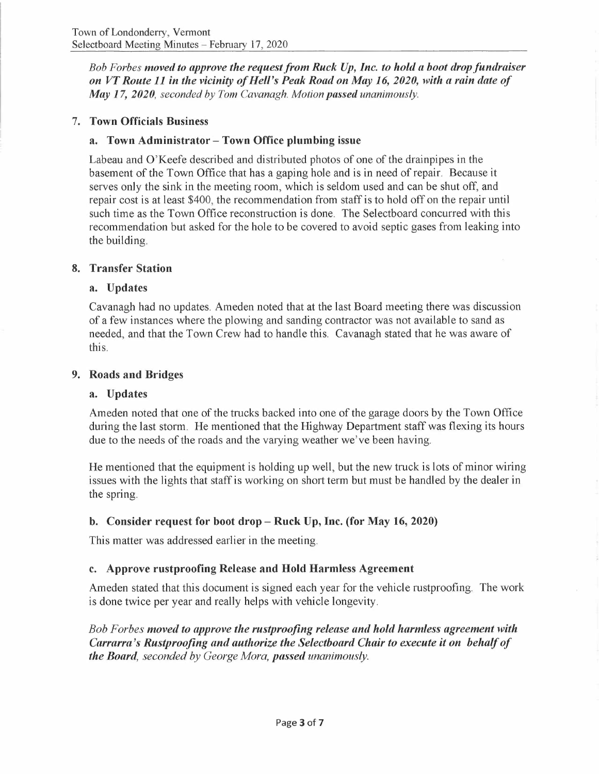*Bob Forbes moved to approve the requestfrom Ruck Up, Inc. to hold a boot drop fundraiser on VT Route 11 in the vicinity of Hell's Peak Road on May 16, 2020, with a rain date of May 17, 2020, seconded by Tom Cavanagh. Motion passed unanimously.* 

#### 7. **Town Officials Business**

#### **a. Town Administrator - Town Office plumbing issue**

Labeau and O'Keefe described and distributed photos of one of the drainpipes in the basement of the Town Office that has a gaping hole and is in need of repair. Because it serves only the sink in the meeting room, which is seldom used and can be shut off, and repair cost is at least \$400, the recommendation from staff is to hold off on the repair until such time as the Town Office reconstruction is done. The Selectboard concurred with this recommendation but asked for the hole to be covered to avoid septic gases from leaking into the building.

#### **8. Transfer Station**

#### **a. Updates**

Cavanagh had no updates. Ameden noted that at the last Board meeting there was discussion of a few instances where the plowing and sanding contractor was not available to sand as needed, and that the Town Crew had to handle this. Cavanagh stated that he was aware of this.

#### **9. Roads and Bridges**

#### **a. Updates**

Am eden noted that one of the trucks backed into one of the garage doors by the Town Office during the last storm. He mentioned that the Highway Department staff was flexing its hours due to the needs of the roads and the varying weather we've been having.

He mentioned that the equipment is holding up well, but the new truck is lots of minor wiring issues with the lights that staff is working on short term but must be handled by the dealer in the spring.

## **b. Consider request for boot drop- Ruck Up, Inc. (for May 16, 2020)**

This matter was addressed earlier in the meeting.

## **c. Approve rustproofing Release and Hold Harmless Agreement**

Ameden stated that this document is signed each year for the vehicle rustproofing. The work is done twice per year and really helps with vehicle longevity.

*Bob Forbes moved to approve the rustproofing release and hold harmless agreement with Carrarra 's Rustproofing and authorize the Selectboard Chair to execute it on behalf of the Board, seconded by George Mora, passed unanimously.*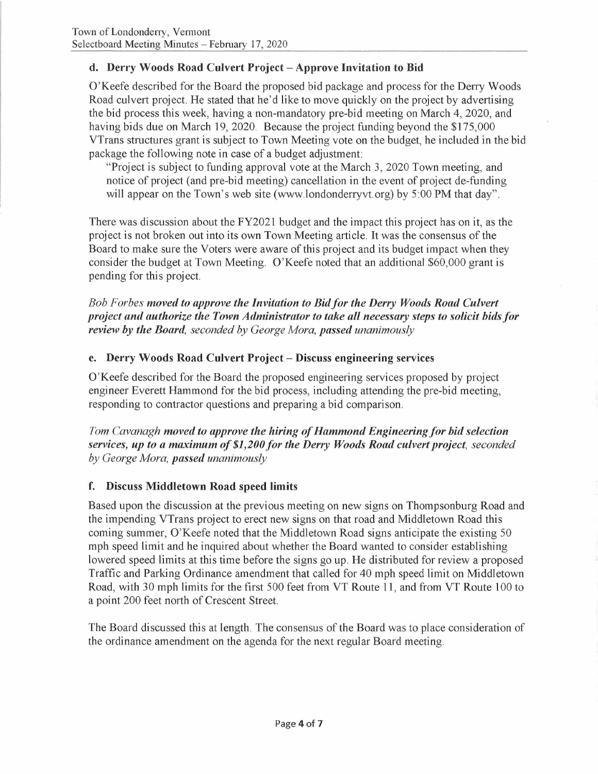# **d. Derry Woods Road Culvert Project - Approve Invitation to Bid**

O'Keefe described for the Board the proposed bid package and process for the Derry Woods Road culvert project. He stated that he'd like to move quickly on the project by advertising the bid process this week, having a non-mandatory pre-bid meeting on March 4, 2020, and having bids due on March 19, 2020. Because the project funding beyond the \$175,000 VTrans structures grant is subject to Town Meeting vote on the budget, he included in the bid package the following note in case of a budget adjustment:

"Project is subject to funding approval vote at the March 3, 2020 Town meeting, and notice of project (and pre-bid meeting) cancellation in the event of project de-funding will appear on the Town's web site (www.londonderryvt.org) by 5:00 **PM** that day".

There was discussion about the FY2021 budget and the impact this project has on it, as the project is not broken out into its own Town Meeting article. It was the consensus of the Board to make sure the Voters were aware of this project and its budget impact when they consider the budget at Town Meeting. O'Keefe noted that an additional \$60,000 grant is pending for this project.

*Bob Forbes moved to approve the Invitation to Bidfor the Derry Woods Road Culvert project and authorize the Town Administrator to take all necessary steps to solicit bids for review by the Board, seconded by George Mora, passed unanimously* 

## **e. Derry Woods Road Culvert Project- Discuss engineering services**

O'Keefe described for the Board the proposed engineering services proposed by project engineer Everett Hammond for the bid process, including attending the pre-bid meeting, responding to contractor questions and preparing a bid comparison.

*Tom Cavanagh moved to approve the hiring of Hammond Engineering for bid selection services, up to a maximum of \$1,200 for the Derry Woods Road culvert project, seconded by George Mora, passed unanimously* 

# **f. Discuss Middletown Road speed limits**

Based upon the discussion at the previous meeting on new signs on Thompsonburg Road and the impending VTrans project to erect new signs on that road and Middletown Road this coming summer, O'Keefe noted that the Middletown Road signs anticipate the existing 50 mph speed limit and he inquired about whether the Board wanted to consider establishing lowered speed limits at this time before the signs go up. He distributed for review a proposed Traffic and Parking Ordinance amendment that called for 40 mph speed limit on Middletown Road, with 30 mph limits for the first 500 feet from VT Route 11, and from VT Route 100 to a point 200 feet north of Crescent Street.

The Board discussed this at length. The consensus of the Board was to place consideration of the ordinance amendment on the agenda for the next regular Board meeting.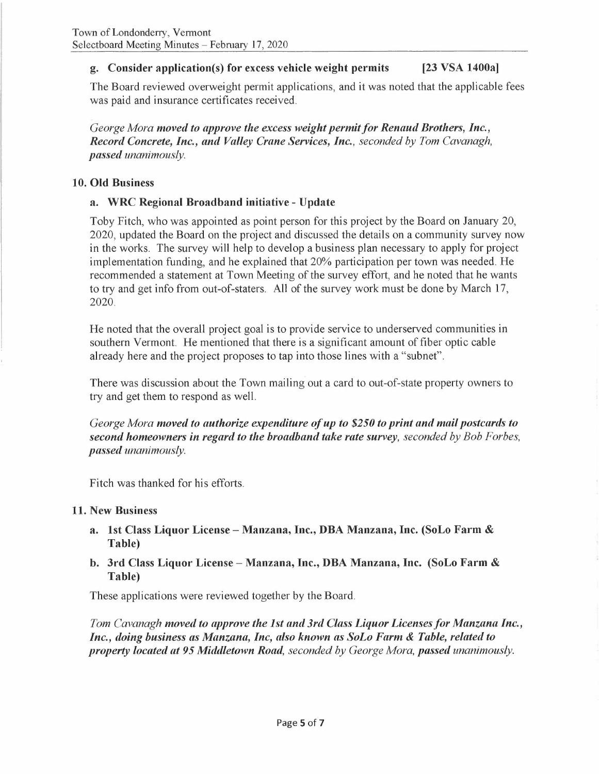# **g. Consider application(s) for excess vehicle weight permits [23 VSA 1400a)**

The Board reviewed overweight permit applications, and it was noted that the applicable fees was paid and insurance certificates received.

*George Mora moved to approve the excess weight permit for Renaud Brothers, Inc., Record Concrete, Inc., and Valley Crane Services, Inc., seconded by Tom Cavanagh, passed unanimously.* 

#### **10. Old Business**

#### **a. WRC Regional Broadband initiative - Update**

Toby Fitch, who was appointed as point person for this project by the Board on January 20, 2020, updated the Board on the project and discussed the details on a community survey now in the works. The survey will help to develop a business plan necessary to apply for project implementation funding, and he explained that 20% participation per town was needed. He recommended a statement at Town Meeting of the survey effort, and he noted that he wants to try and get info from out-of-staters. All of the survey work must be done by March 17, 2020.

He noted that the overall project goal is to provide service to underserved communities in southern Vermont. He mentioned that there is a significant amount of fiber optic cable already here and the project proposes to tap into those lines with a "subnet".

There was discussion about the Town mailing out a card to out-of-state property owners to try and get them to respond as well.

*George Mora moved to authorize expenditure ofup to \$250 to print and mail postcards to second homeowners in regard to the broadband take rate survey, seconded by Bob Forbes, passed unanimously.* 

Fitch was thanked for his efforts.

#### **11. New Business**

- **a. 1st Class Liquor License Manzana, Inc., DBA Manzana, Inc. (SoLo Farm** & **Table)**
- **b. 3rd Class Liquor License Manzana, Inc., DBA Manzana, Inc. (SoLo Farm** & **Table)**

These applications were reviewed together by the Board.

*Tom Cavanagh moved to approve the 1st and 3rd Class Liquor Licenses for Manzana Inc., Inc., doing business as Manzana, Inc, also known as SoLo Farm* & *Table, related to property located at 95 Middletown Road, seconded by George Mora, passed unanimously.*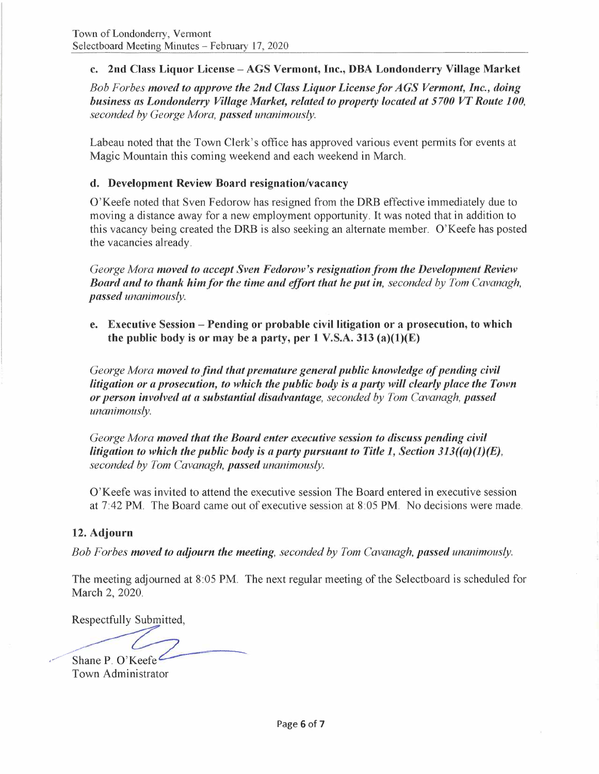# **c. 2nd Class Liquor License - AGS Vermont, Inc., DBA Londonderry Village Market**

*Bob Forbes moved to approve the 2nd Class Liquor License for AGS Vermont, Inc., doing business as Londonderry Village Market, related to property located at 5700 VT Route 100, seconded by George Mora, passed unanimously.* 

Labeau noted that the Town Clerk's office has approved various event permits for events at Magic Mountain this coming weekend and each weekend in March.

## **d. Development Review Board resignation/vacancy**

O'Keefe noted that Sven Fedorow has resigned from the DRB effective immediately due to moving a distance away for a new employment opportunity. It was noted that in addition to this vacancy being created the DRB is also seeking an alternate member. O'Keefe has posted the vacancies already.

*George Mora moved to accept Sven Fedorow's resignation from the Development Review Board and to thank him/or the time and effort that he put in, seconded by Tom Cavanagh, passed unanimously.* 

e. Executive Session - Pending or probable civil litigation or a prosecution, to which the public body is or may be a party, per 1 V.S.A. 313 (a) $(1)(E)$ 

*George Mora moved to find that premature general public knowledge of pending civil litigation or a prosecution, to which the public body is a party will clearly place the Town or person involved at a substantial disadvantage, seconded by Tom Cavanagh, passed unanimously.* 

*George Mora moved that the Board enter executive session to discuss pending civil litigation to which the public body is a party pursuant to Title 1, Section 313((a)(l)(E), seconded by Tom Cavanagh, passed unanimously.* 

O'Keefe was invited to attend the executive session The Board entered in executive session at 7:42 PM. The Board came out of executive session at 8:05 PM. No decisions were made.

## **12. Adjourn**

*Bob Forbes moved to adjourn the meeting, seconded by Tom Cavanagh, passed unanimously.* 

The meeting adjourned at 8:05 PM. The next regular meeting of the Selectboard is scheduled for March 2, 2020.

Respectfully Submitted,

.... ,~·,.. Shane P. O'Keefe

Town Administrator